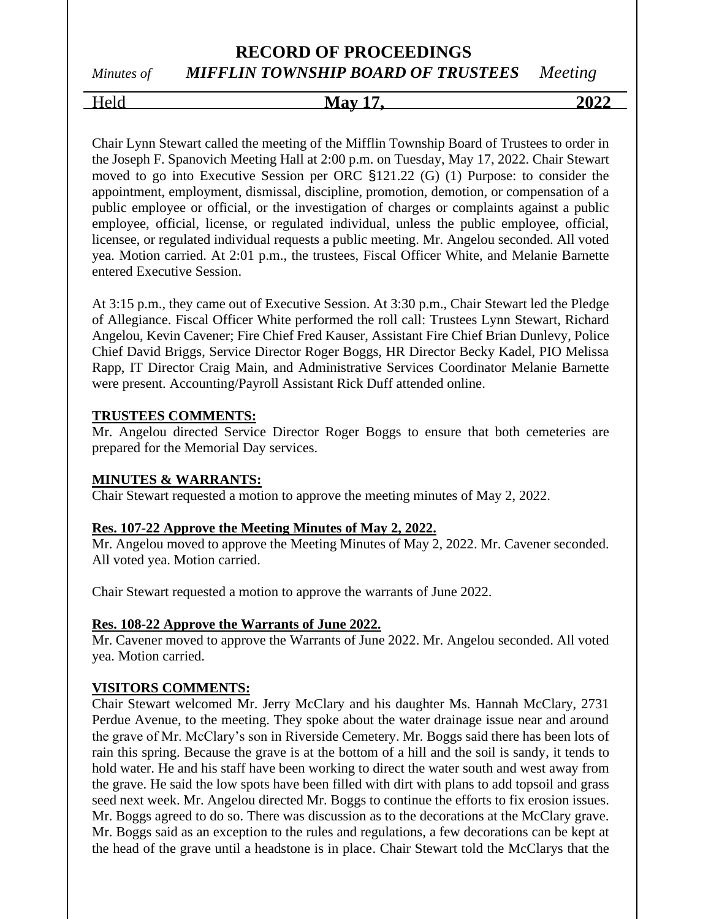## *Minutes of MIFFLIN TOWNSHIP BOARD OF TRUSTEES Meeting*

Held **May 17, 2022**

Chair Lynn Stewart called the meeting of the Mifflin Township Board of Trustees to order in the Joseph F. Spanovich Meeting Hall at 2:00 p.m. on Tuesday, May 17, 2022. Chair Stewart moved to go into Executive Session per ORC §121.22 (G) (1) Purpose: to consider the appointment, employment, dismissal, discipline, promotion, demotion, or compensation of a public employee or official, or the investigation of charges or complaints against a public employee, official, license, or regulated individual, unless the public employee, official, licensee, or regulated individual requests a public meeting. Mr. Angelou seconded. All voted yea. Motion carried. At 2:01 p.m., the trustees, Fiscal Officer White, and Melanie Barnette entered Executive Session.

At 3:15 p.m., they came out of Executive Session. At 3:30 p.m., Chair Stewart led the Pledge of Allegiance. Fiscal Officer White performed the roll call: Trustees Lynn Stewart, Richard Angelou, Kevin Cavener; Fire Chief Fred Kauser, Assistant Fire Chief Brian Dunlevy, Police Chief David Briggs, Service Director Roger Boggs, HR Director Becky Kadel, PIO Melissa Rapp, IT Director Craig Main, and Administrative Services Coordinator Melanie Barnette were present. Accounting/Payroll Assistant Rick Duff attended online.

#### **TRUSTEES COMMENTS:**

Mr. Angelou directed Service Director Roger Boggs to ensure that both cemeteries are prepared for the Memorial Day services.

#### **MINUTES & WARRANTS:**

Chair Stewart requested a motion to approve the meeting minutes of May 2, 2022.

#### **Res. 107-22 Approve the Meeting Minutes of May 2, 2022.**

Mr. Angelou moved to approve the Meeting Minutes of May 2, 2022. Mr. Cavener seconded. All voted yea. Motion carried.

Chair Stewart requested a motion to approve the warrants of June 2022.

#### **Res. 108-22 Approve the Warrants of June 2022.**

Mr. Cavener moved to approve the Warrants of June 2022. Mr. Angelou seconded. All voted yea. Motion carried.

#### **VISITORS COMMENTS:**

Chair Stewart welcomed Mr. Jerry McClary and his daughter Ms. Hannah McClary, 2731 Perdue Avenue, to the meeting. They spoke about the water drainage issue near and around the grave of Mr. McClary's son in Riverside Cemetery. Mr. Boggs said there has been lots of rain this spring. Because the grave is at the bottom of a hill and the soil is sandy, it tends to hold water. He and his staff have been working to direct the water south and west away from the grave. He said the low spots have been filled with dirt with plans to add topsoil and grass seed next week. Mr. Angelou directed Mr. Boggs to continue the efforts to fix erosion issues. Mr. Boggs agreed to do so. There was discussion as to the decorations at the McClary grave. Mr. Boggs said as an exception to the rules and regulations, a few decorations can be kept at the head of the grave until a headstone is in place. Chair Stewart told the McClarys that the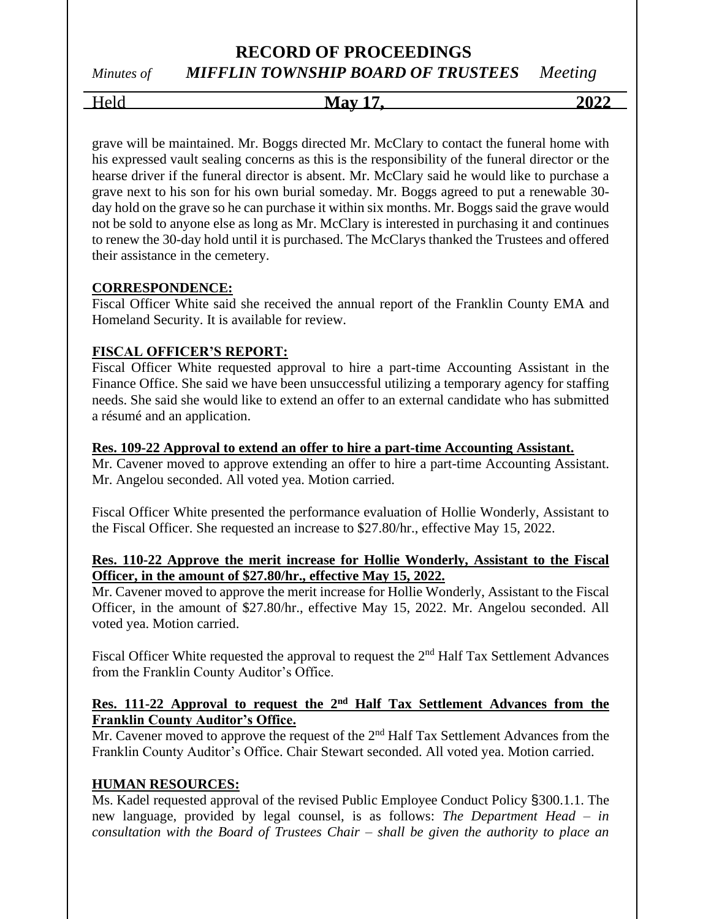# *Minutes of MIFFLIN TOWNSHIP BOARD OF TRUSTEES Meeting*

Held **May 17, 2022**

grave will be maintained. Mr. Boggs directed Mr. McClary to contact the funeral home with his expressed vault sealing concerns as this is the responsibility of the funeral director or the hearse driver if the funeral director is absent. Mr. McClary said he would like to purchase a grave next to his son for his own burial someday. Mr. Boggs agreed to put a renewable 30 day hold on the grave so he can purchase it within six months. Mr. Boggs said the grave would not be sold to anyone else as long as Mr. McClary is interested in purchasing it and continues to renew the 30-day hold until it is purchased. The McClarys thanked the Trustees and offered their assistance in the cemetery.

### **CORRESPONDENCE:**

Fiscal Officer White said she received the annual report of the Franklin County EMA and Homeland Security. It is available for review.

## **FISCAL OFFICER'S REPORT:**

Fiscal Officer White requested approval to hire a part-time Accounting Assistant in the Finance Office. She said we have been unsuccessful utilizing a temporary agency for staffing needs. She said she would like to extend an offer to an external candidate who has submitted a résumé and an application.

#### **Res. 109-22 Approval to extend an offer to hire a part-time Accounting Assistant.**

Mr. Cavener moved to approve extending an offer to hire a part-time Accounting Assistant. Mr. Angelou seconded. All voted yea. Motion carried.

Fiscal Officer White presented the performance evaluation of Hollie Wonderly, Assistant to the Fiscal Officer. She requested an increase to \$27.80/hr., effective May 15, 2022.

#### **Res. 110-22 Approve the merit increase for Hollie Wonderly, Assistant to the Fiscal Officer, in the amount of \$27.80/hr., effective May 15, 2022.**

Mr. Cavener moved to approve the merit increase for Hollie Wonderly, Assistant to the Fiscal Officer, in the amount of \$27.80/hr., effective May 15, 2022. Mr. Angelou seconded. All voted yea. Motion carried.

Fiscal Officer White requested the approval to request the 2<sup>nd</sup> Half Tax Settlement Advances from the Franklin County Auditor's Office.

### **Res. 111-22 Approval to request the 2nd Half Tax Settlement Advances from the Franklin County Auditor's Office.**

Mr. Cavener moved to approve the request of the 2<sup>nd</sup> Half Tax Settlement Advances from the Franklin County Auditor's Office. Chair Stewart seconded. All voted yea. Motion carried.

## **HUMAN RESOURCES:**

Ms. Kadel requested approval of the revised Public Employee Conduct Policy §300.1.1. The new language, provided by legal counsel, is as follows: *The Department Head – in consultation with the Board of Trustees Chair – shall be given the authority to place an*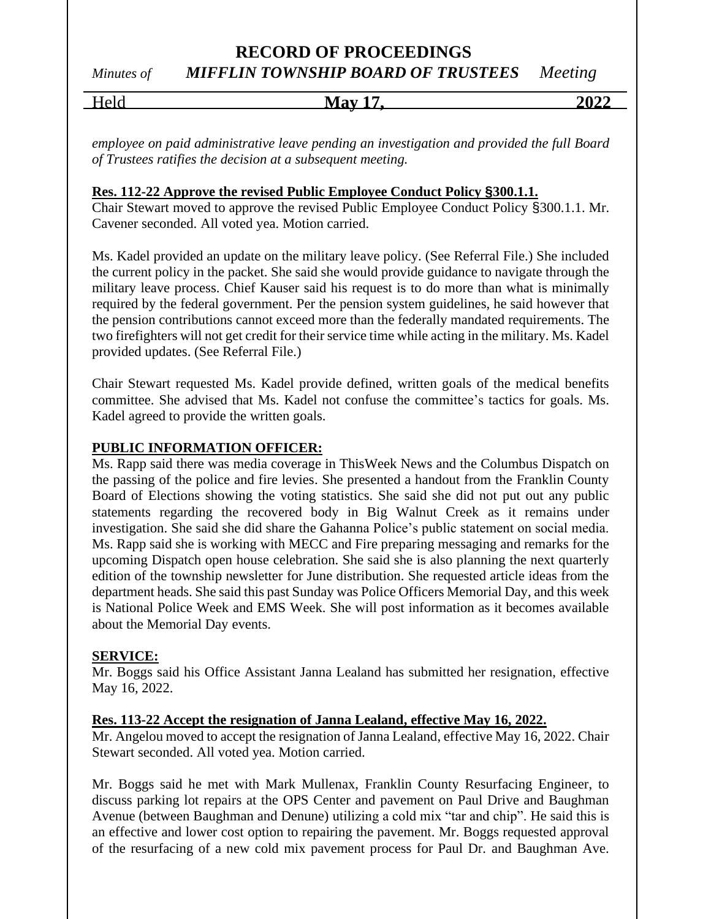# *Minutes of MIFFLIN TOWNSHIP BOARD OF TRUSTEES Meeting*

| $H_{\alpha}$ la<br>710 | <b>May</b> | $202^{\circ}$ |
|------------------------|------------|---------------|
|                        |            |               |

*employee on paid administrative leave pending an investigation and provided the full Board of Trustees ratifies the decision at a subsequent meeting.*

#### **Res. 112-22 Approve the revised Public Employee Conduct Policy §300.1.1.**

Chair Stewart moved to approve the revised Public Employee Conduct Policy §300.1.1. Mr. Cavener seconded. All voted yea. Motion carried.

Ms. Kadel provided an update on the military leave policy. (See Referral File.) She included the current policy in the packet. She said she would provide guidance to navigate through the military leave process. Chief Kauser said his request is to do more than what is minimally required by the federal government. Per the pension system guidelines, he said however that the pension contributions cannot exceed more than the federally mandated requirements. The two firefighters will not get credit for their service time while acting in the military. Ms. Kadel provided updates. (See Referral File.)

Chair Stewart requested Ms. Kadel provide defined, written goals of the medical benefits committee. She advised that Ms. Kadel not confuse the committee's tactics for goals. Ms. Kadel agreed to provide the written goals.

#### **PUBLIC INFORMATION OFFICER:**

Ms. Rapp said there was media coverage in ThisWeek News and the Columbus Dispatch on the passing of the police and fire levies. She presented a handout from the Franklin County Board of Elections showing the voting statistics. She said she did not put out any public statements regarding the recovered body in Big Walnut Creek as it remains under investigation. She said she did share the Gahanna Police's public statement on social media. Ms. Rapp said she is working with MECC and Fire preparing messaging and remarks for the upcoming Dispatch open house celebration. She said she is also planning the next quarterly edition of the township newsletter for June distribution. She requested article ideas from the department heads. She said this past Sunday was Police Officers Memorial Day, and this week is National Police Week and EMS Week. She will post information as it becomes available about the Memorial Day events.

#### **SERVICE:**

Mr. Boggs said his Office Assistant Janna Lealand has submitted her resignation, effective May 16, 2022.

#### **Res. 113-22 Accept the resignation of Janna Lealand, effective May 16, 2022.**

Mr. Angelou moved to accept the resignation of Janna Lealand, effective May 16, 2022. Chair Stewart seconded. All voted yea. Motion carried.

Mr. Boggs said he met with Mark Mullenax, Franklin County Resurfacing Engineer, to discuss parking lot repairs at the OPS Center and pavement on Paul Drive and Baughman Avenue (between Baughman and Denune) utilizing a cold mix "tar and chip". He said this is an effective and lower cost option to repairing the pavement. Mr. Boggs requested approval of the resurfacing of a new cold mix pavement process for Paul Dr. and Baughman Ave.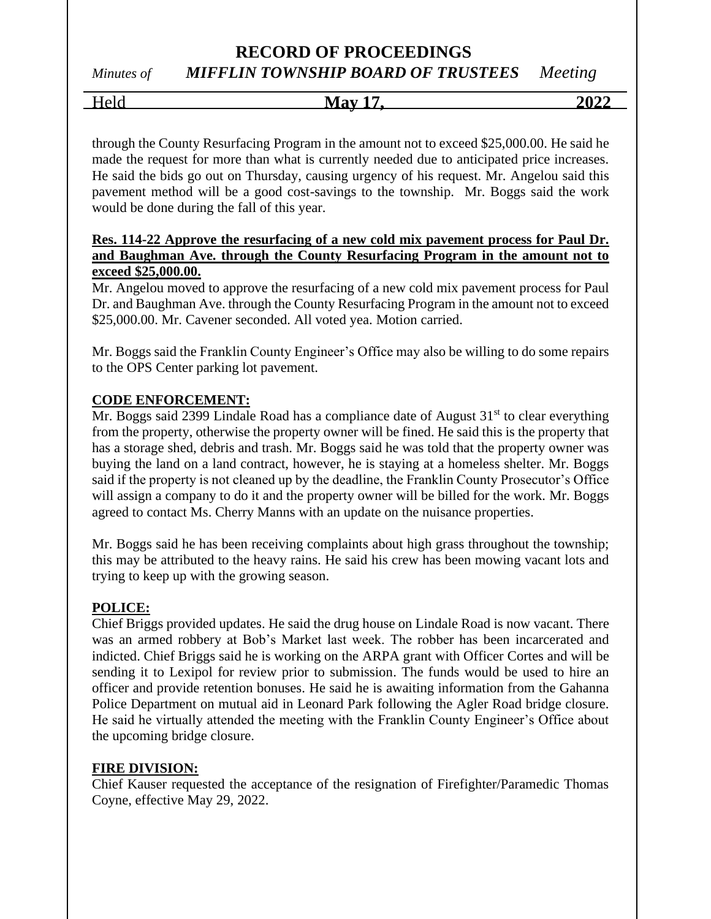*Minutes of MIFFLIN TOWNSHIP BOARD OF TRUSTEES Meeting*

Held **May 17, 2022**

through the County Resurfacing Program in the amount not to exceed \$25,000.00. He said he made the request for more than what is currently needed due to anticipated price increases. He said the bids go out on Thursday, causing urgency of his request. Mr. Angelou said this pavement method will be a good cost-savings to the township. Mr. Boggs said the work would be done during the fall of this year.

#### **Res. 114-22 Approve the resurfacing of a new cold mix pavement process for Paul Dr. and Baughman Ave. through the County Resurfacing Program in the amount not to exceed \$25,000.00.**

Mr. Angelou moved to approve the resurfacing of a new cold mix pavement process for Paul Dr. and Baughman Ave. through the County Resurfacing Program in the amount not to exceed \$25,000.00. Mr. Cavener seconded. All voted yea. Motion carried.

Mr. Boggs said the Franklin County Engineer's Office may also be willing to do some repairs to the OPS Center parking lot pavement.

### **CODE ENFORCEMENT:**

 $\overline{Mr}$ . Boggs said 2399 Lindale Road has a compliance date of August 31<sup>st</sup> to clear everything from the property, otherwise the property owner will be fined. He said this is the property that has a storage shed, debris and trash. Mr. Boggs said he was told that the property owner was buying the land on a land contract, however, he is staying at a homeless shelter. Mr. Boggs said if the property is not cleaned up by the deadline, the Franklin County Prosecutor's Office will assign a company to do it and the property owner will be billed for the work. Mr. Boggs agreed to contact Ms. Cherry Manns with an update on the nuisance properties.

Mr. Boggs said he has been receiving complaints about high grass throughout the township; this may be attributed to the heavy rains. He said his crew has been mowing vacant lots and trying to keep up with the growing season.

## **POLICE:**

Chief Briggs provided updates. He said the drug house on Lindale Road is now vacant. There was an armed robbery at Bob's Market last week. The robber has been incarcerated and indicted. Chief Briggs said he is working on the ARPA grant with Officer Cortes and will be sending it to Lexipol for review prior to submission. The funds would be used to hire an officer and provide retention bonuses. He said he is awaiting information from the Gahanna Police Department on mutual aid in Leonard Park following the Agler Road bridge closure. He said he virtually attended the meeting with the Franklin County Engineer's Office about the upcoming bridge closure.

#### **FIRE DIVISION:**

Chief Kauser requested the acceptance of the resignation of Firefighter/Paramedic Thomas Coyne, effective May 29, 2022.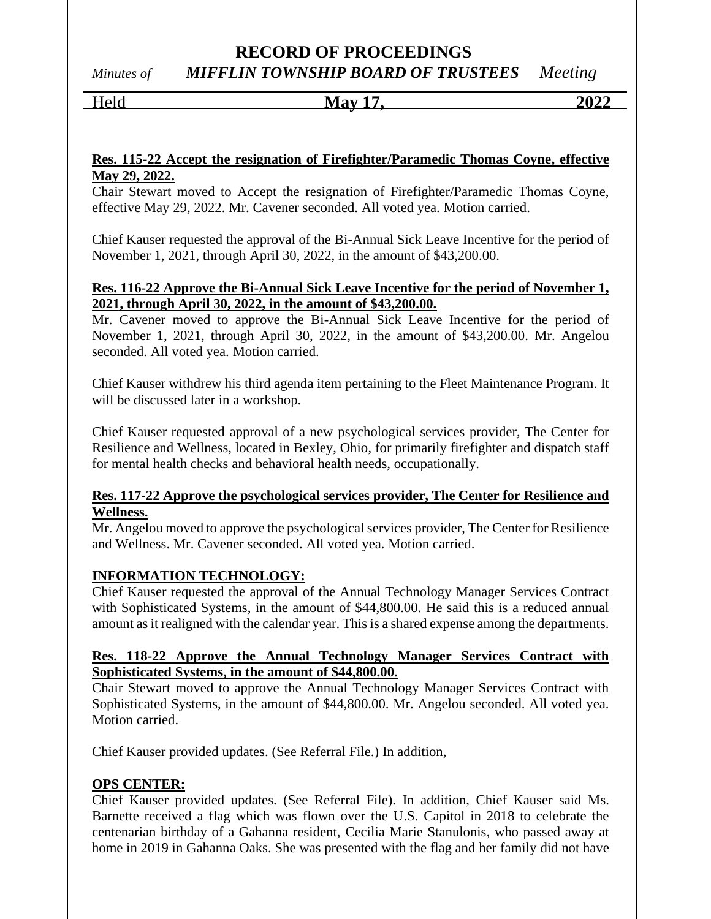# *Minutes of MIFFLIN TOWNSHIP BOARD OF TRUSTEES Meeting*

# Held **May 17, 2022**

#### **Res. 115-22 Accept the resignation of Firefighter/Paramedic Thomas Coyne, effective May 29, 2022.**

Chair Stewart moved to Accept the resignation of Firefighter/Paramedic Thomas Coyne, effective May 29, 2022. Mr. Cavener seconded. All voted yea. Motion carried.

Chief Kauser requested the approval of the Bi-Annual Sick Leave Incentive for the period of November 1, 2021, through April 30, 2022, in the amount of \$43,200.00.

### **Res. 116-22 Approve the Bi-Annual Sick Leave Incentive for the period of November 1, 2021, through April 30, 2022, in the amount of \$43,200.00.**

Mr. Cavener moved to approve the Bi-Annual Sick Leave Incentive for the period of November 1, 2021, through April 30, 2022, in the amount of \$43,200.00. Mr. Angelou seconded. All voted yea. Motion carried.

Chief Kauser withdrew his third agenda item pertaining to the Fleet Maintenance Program. It will be discussed later in a workshop.

Chief Kauser requested approval of a new psychological services provider, The Center for Resilience and Wellness, located in Bexley, Ohio, for primarily firefighter and dispatch staff for mental health checks and behavioral health needs, occupationally.

## **Res. 117-22 Approve the psychological services provider, The Center for Resilience and Wellness.**

Mr. Angelou moved to approve the psychological services provider, The Center for Resilience and Wellness. Mr. Cavener seconded. All voted yea. Motion carried.

## **INFORMATION TECHNOLOGY:**

Chief Kauser requested the approval of the Annual Technology Manager Services Contract with Sophisticated Systems, in the amount of \$44,800.00. He said this is a reduced annual amount as it realigned with the calendar year. This is a shared expense among the departments.

### **Res. 118-22 Approve the Annual Technology Manager Services Contract with Sophisticated Systems, in the amount of \$44,800.00.**

Chair Stewart moved to approve the Annual Technology Manager Services Contract with Sophisticated Systems, in the amount of \$44,800.00. Mr. Angelou seconded. All voted yea. Motion carried.

Chief Kauser provided updates. (See Referral File.) In addition,

## **OPS CENTER:**

Chief Kauser provided updates. (See Referral File). In addition, Chief Kauser said Ms. Barnette received a flag which was flown over the U.S. Capitol in 2018 to celebrate the centenarian birthday of a Gahanna resident, Cecilia Marie Stanulonis, who passed away at home in 2019 in Gahanna Oaks. She was presented with the flag and her family did not have